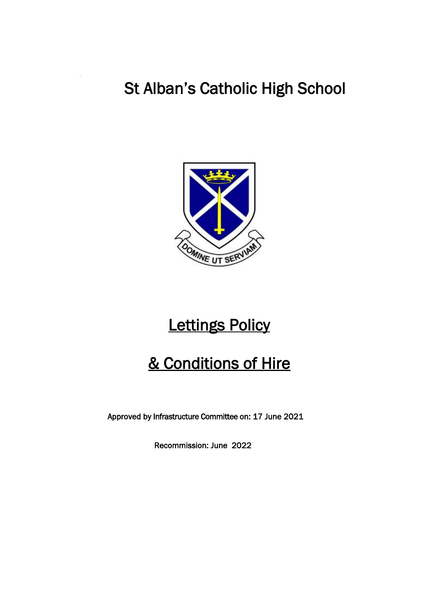# St Alban's Catholic High School



# Lettings Policy

# & Conditions of Hire

Approved by Infrastructure Committee on: 17 June 2021

Recommission: June 2022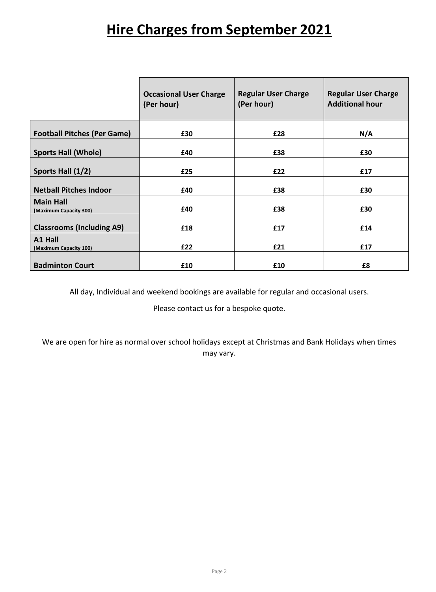# **Hire Charges from September 2021**

|                                            | <b>Occasional User Charge</b><br>(Per hour) | <b>Regular User Charge</b><br>(Per hour) | <b>Regular User Charge</b><br><b>Additional hour</b> |
|--------------------------------------------|---------------------------------------------|------------------------------------------|------------------------------------------------------|
| <b>Football Pitches (Per Game)</b>         | £30                                         | £28                                      | N/A                                                  |
| <b>Sports Hall (Whole)</b>                 | £40                                         | £38                                      | £30                                                  |
| Sports Hall (1/2)                          | £25                                         | £22                                      | £17                                                  |
| <b>Netball Pitches Indoor</b>              | £40                                         | £38                                      | £30                                                  |
| <b>Main Hall</b><br>(Maximum Capacity 300) | £40                                         | £38                                      | £30                                                  |
| <b>Classrooms (Including A9)</b>           | £18                                         | £17                                      | £14                                                  |
| A1 Hall<br>(Maximum Capacity 100)          | £22                                         | £21                                      | £17                                                  |
| <b>Badminton Court</b>                     | £10                                         | £10                                      | £8                                                   |

All day, Individual and weekend bookings are available for regular and occasional users.

Please contact us for a bespoke quote.

We are open for hire as normal over school holidays except at Christmas and Bank Holidays when times may vary.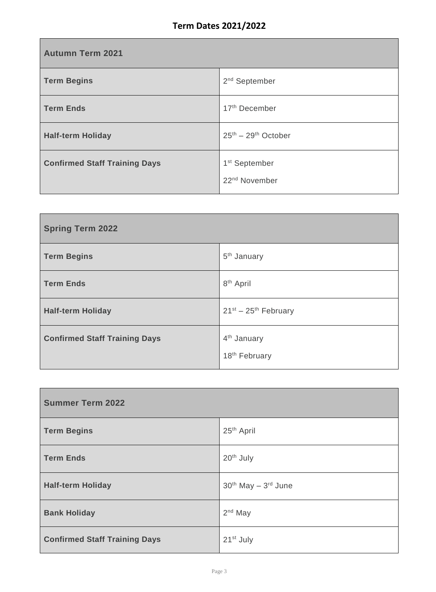| <b>Autumn Term 2021</b>              |                                                        |  |
|--------------------------------------|--------------------------------------------------------|--|
| <b>Term Begins</b>                   | $2nd$ September                                        |  |
| <b>Term Ends</b>                     | 17 <sup>th</sup> December                              |  |
| <b>Half-term Holiday</b>             | $25^{th} - 29^{th}$ October                            |  |
| <b>Confirmed Staff Training Days</b> | 1 <sup>st</sup> September<br>22 <sup>nd</sup> November |  |

| <b>Spring Term 2022</b>              |                                                      |
|--------------------------------------|------------------------------------------------------|
| <b>Term Begins</b>                   | 5 <sup>th</sup> January                              |
| <b>Term Ends</b>                     | 8 <sup>th</sup> April                                |
| <b>Half-term Holiday</b>             | $21^{st} - 25^{th}$ February                         |
| <b>Confirmed Staff Training Days</b> | 4 <sup>th</sup> January<br>18 <sup>th</sup> February |

| <b>Summer Term 2022</b>              |                        |
|--------------------------------------|------------------------|
| <b>Term Begins</b>                   | 25 <sup>th</sup> April |
| <b>Term Ends</b>                     | 20 <sup>th</sup> July  |
| <b>Half-term Holiday</b>             | $30th$ May $-3rd$ June |
| <b>Bank Holiday</b>                  | $2nd$ May              |
| <b>Confirmed Staff Training Days</b> | 21 <sup>st</sup> July  |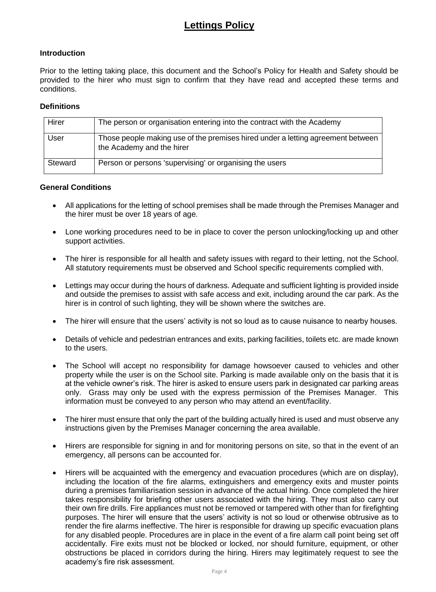# **Lettings Policy**

### **Introduction**

Prior to the letting taking place, this document and the School's Policy for Health and Safety should be provided to the hirer who must sign to confirm that they have read and accepted these terms and conditions.

#### **Definitions**

| Hirer   | The person or organisation entering into the contract with the Academy                                       |
|---------|--------------------------------------------------------------------------------------------------------------|
| User    | Those people making use of the premises hired under a letting agreement between<br>the Academy and the hirer |
| Steward | Person or persons 'supervising' or organising the users                                                      |

#### **General Conditions**

- All applications for the letting of school premises shall be made through the Premises Manager and the hirer must be over 18 years of age.
- Lone working procedures need to be in place to cover the person unlocking/locking up and other support activities.
- The hirer is responsible for all health and safety issues with regard to their letting, not the School. All statutory requirements must be observed and School specific requirements complied with.
- Lettings may occur during the hours of darkness. Adequate and sufficient lighting is provided inside and outside the premises to assist with safe access and exit, including around the car park. As the hirer is in control of such lighting, they will be shown where the switches are.
- The hirer will ensure that the users' activity is not so loud as to cause nuisance to nearby houses.
- Details of vehicle and pedestrian entrances and exits, parking facilities, toilets etc. are made known to the users.
- The School will accept no responsibility for damage howsoever caused to vehicles and other property while the user is on the School site. Parking is made available only on the basis that it is at the vehicle owner's risk. The hirer is asked to ensure users park in designated car parking areas only. Grass may only be used with the express permission of the Premises Manager. This information must be conveyed to any person who may attend an event/facility.
- The hirer must ensure that only the part of the building actually hired is used and must observe any instructions given by the Premises Manager concerning the area available.
- Hirers are responsible for signing in and for monitoring persons on site, so that in the event of an emergency, all persons can be accounted for.
- Hirers will be acquainted with the emergency and evacuation procedures (which are on display), including the location of the fire alarms, extinguishers and emergency exits and muster points during a premises familiarisation session in advance of the actual hiring. Once completed the hirer takes responsibility for briefing other users associated with the hiring. They must also carry out their own fire drills. Fire appliances must not be removed or tampered with other than for firefighting purposes. The hirer will ensure that the users' activity is not so loud or otherwise obtrusive as to render the fire alarms ineffective. The hirer is responsible for drawing up specific evacuation plans for any disabled people. Procedures are in place in the event of a fire alarm call point being set off accidentally. Fire exits must not be blocked or locked, nor should furniture, equipment, or other obstructions be placed in corridors during the hiring. Hirers may legitimately request to see the academy's fire risk assessment.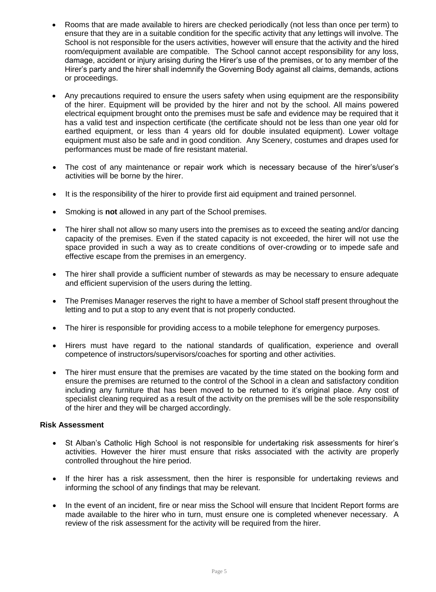- Rooms that are made available to hirers are checked periodically (not less than once per term) to ensure that they are in a suitable condition for the specific activity that any lettings will involve. The School is not responsible for the users activities, however will ensure that the activity and the hired room/equipment available are compatible. The School cannot accept responsibility for any loss, damage, accident or injury arising during the Hirer's use of the premises, or to any member of the Hirer's party and the hirer shall indemnify the Governing Body against all claims, demands, actions or proceedings.
- Any precautions required to ensure the users safety when using equipment are the responsibility of the hirer. Equipment will be provided by the hirer and not by the school. All mains powered electrical equipment brought onto the premises must be safe and evidence may be required that it has a valid test and inspection certificate (the certificate should not be less than one year old for earthed equipment, or less than 4 years old for double insulated equipment). Lower voltage equipment must also be safe and in good condition. Any Scenery, costumes and drapes used for performances must be made of fire resistant material.
- The cost of any maintenance or repair work which is necessary because of the hirer's/user's activities will be borne by the hirer.
- It is the responsibility of the hirer to provide first aid equipment and trained personnel.
- Smoking is **not** allowed in any part of the School premises.
- The hirer shall not allow so many users into the premises as to exceed the seating and/or dancing capacity of the premises. Even if the stated capacity is not exceeded, the hirer will not use the space provided in such a way as to create conditions of over-crowding or to impede safe and effective escape from the premises in an emergency.
- The hirer shall provide a sufficient number of stewards as may be necessary to ensure adequate and efficient supervision of the users during the letting.
- The Premises Manager reserves the right to have a member of School staff present throughout the letting and to put a stop to any event that is not properly conducted.
- The hirer is responsible for providing access to a mobile telephone for emergency purposes.
- Hirers must have regard to the national standards of qualification, experience and overall competence of instructors/supervisors/coaches for sporting and other activities.
- The hirer must ensure that the premises are vacated by the time stated on the booking form and ensure the premises are returned to the control of the School in a clean and satisfactory condition including any furniture that has been moved to be returned to it's original place. Any cost of specialist cleaning required as a result of the activity on the premises will be the sole responsibility of the hirer and they will be charged accordingly.

### **Risk Assessment**

- St Alban's Catholic High School is not responsible for undertaking risk assessments for hirer's activities. However the hirer must ensure that risks associated with the activity are properly controlled throughout the hire period.
- If the hirer has a risk assessment, then the hirer is responsible for undertaking reviews and informing the school of any findings that may be relevant.
- In the event of an incident, fire or near miss the School will ensure that Incident Report forms are made available to the hirer who in turn, must ensure one is completed whenever necessary. A review of the risk assessment for the activity will be required from the hirer.